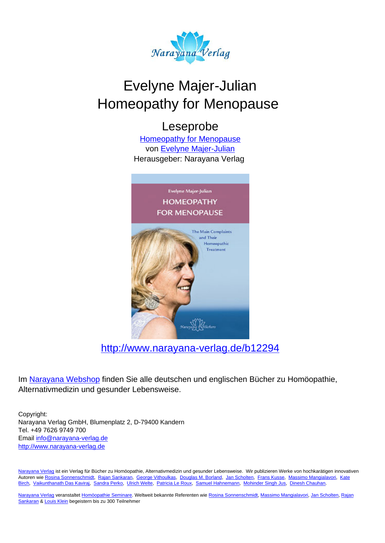

# Evelyne Majer-Julian Homeopathy for Menopause

## Leseprobe

[Homeopathy for Menopause](http://www.narayana-verlag.de/Homeopathy-for-Menopause-Evelyne-Majer-Julian/b12294/partner/leseprobe) von [Evelyne Majer-Julian](http://www.narayana-verlag.de/Evelyne-Majer-Julian/a2534/partner/leseprobe) Herausgeber: Narayana Verlag



[http://www.narayana-verlag.de/b12294](http://www.narayana-verlag.de/Homeopathy-for-Menopause-Evelyne-Majer-Julian/b12294/partner/leseprobe)

Im [Narayana Webshop](http://www.narayana-verlag.de/partner/leseprobe) finden Sie alle deutschen und englischen Bücher zu Homöopathie, Alternativmedizin und gesunder Lebensweise.

Copyright: Narayana Verlag GmbH, Blumenplatz 2, D-79400 Kandern Tel. +49 7626 9749 700 Email [info@narayana-verlag.de](mailto:info@narayana-verlag.de) [http://www.narayana-verlag.de](http://www.narayana-verlag.de/partner/leseprobe)

[Narayana Verlag](http://www.narayana-verlag.de/partner/leseprobe) ist ein Verlag für Bücher zu Homöopathie, Alternativmedizin und gesunder Lebensweise. Wir publizieren Werke von hochkarätigen innovativen Autoren wie [Rosina Sonnenschmidt,](http://www.narayana-verlag.de/Rosina-Sonnenschmidt/a835/partner/leseprobe) [Rajan Sankaran,](http://www.narayana-verlag.de/Rajan-Sankaran/a747/partner/leseprobe) [George Vithoulkas](http://www.narayana-verlag.de/George-Vithoulkas/a917/partner/leseprobe), [Douglas M. Borland](http://www.narayana-verlag.de/Douglas-M-Borland/a86/partner/leseprobe), [Jan Scholten,](http://www.narayana-verlag.de/Jan-Scholten/a777/partner/leseprobe) [Frans Kusse](http://www.narayana-verlag.de/Frans-Kusse/a1305/partner/leseprobe), [Massimo Mangialavori](http://www.narayana-verlag.de/Massimo-Mangialavori/a538/partner/leseprobe), [Kate](http://www.narayana-verlag.de/Kate-Birch/a1439/partner/leseprobe) [Birch,](http://www.narayana-verlag.de/Kate-Birch/a1439/partner/leseprobe) [Vaikunthanath Das Kaviraj](http://www.narayana-verlag.de/Vaikunthanath-Das-Kaviraj/a1476/partner/leseprobe), [Sandra Perko,](http://www.narayana-verlag.de/Sandra-Perko/a642/partner/leseprobe) [Ulrich Welte](http://www.narayana-verlag.de/Ulrich-Welte/a935/partner/leseprobe), [Patricia Le Roux](http://www.narayana-verlag.de/Patricia-Le-Roux/a1230/partner/leseprobe), [Samuel Hahnemann](http://www.narayana-verlag.de/Samuel-Hahnemann/a329/partner/leseprobe), [Mohinder Singh Jus](http://www.narayana-verlag.de/Mohinder-Singh-Jus/a417/partner/leseprobe), [Dinesh Chauhan.](http://www.narayana-verlag.de/Dinesh-Chauhan/a123/partner/leseprobe)

[Narayana Verlag](http://www.narayana-verlag.de/partner/leseprobe) veranstaltet [Homöopathie Seminare](http://www.narayana-verlag.de/Seminare/c162/partner/leseprobe). Weltweit bekannte Referenten wie [Rosina Sonnenschmidt](http://www.narayana-verlag.de/Rosina-Sonnenschmidt/a835/partner/leseprobe), [Massimo Mangialavori](http://www.narayana-verlag.de/Massimo-Mangialavori/a538/partner/leseprobe), [Jan Scholten](http://www.narayana-verlag.de/Jan-Scholten/a777/partner/leseprobe), [Rajan](http://www.narayana-verlag.de/Rajan-Sankaran/a747/partner/leseprobe) [Sankaran](http://www.narayana-verlag.de/Rajan-Sankaran/a747/partner/leseprobe) & [Louis Klein](http://www.narayana-verlag.de/Louis-Klein/a450/partner/leseprobe) begeistern bis zu 300 Teilnehmer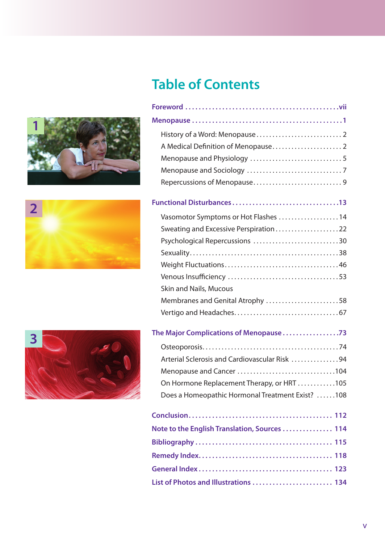

**2**



**Foreword . . . . . . . . . . . . . . . . . . . . . . . . . . . . . . . . . . . . . . . . . . . . . vii**

**Table of Contents**



| The Major Complications of Menopause 73          |     |
|--------------------------------------------------|-----|
|                                                  |     |
| Arterial Sclerosis and Cardiovascular Risk 94    |     |
|                                                  |     |
| On Hormone Replacement Therapy, or HRT 105       |     |
| Does a Homeopathic Hormonal Treatment Exist? 108 |     |
|                                                  |     |
| Conclusion                                       | 112 |

| Note to the English Translation, Sources  114 |  |
|-----------------------------------------------|--|
|                                               |  |
|                                               |  |
|                                               |  |
| List of Photos and Illustrations  134         |  |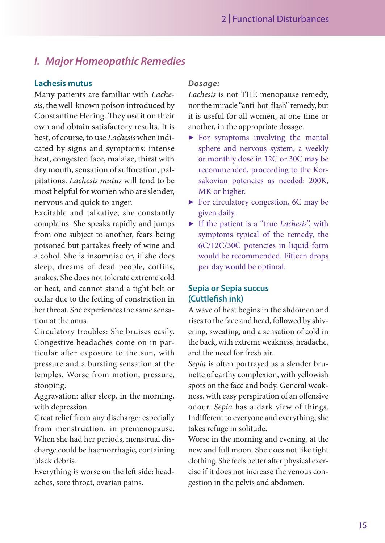### *I. Major Homeopathic Remedies*

#### **Lachesis mutus**

Many patients are familiar with *Lachesis*, the well-known poison introduced by Constantine Hering. They use it on their own and obtain satisfactory results. It is best, of course, to use *Lachesis* when indicated by signs and symptoms: intense heat, congested face, malaise, thirst with dry mouth, sensation of suffocation, palpitations. *Lachesis mutus* will tend to be most helpful for women who are slender, nervous and quick to anger.

Excitable and talkative, she constantly complains. She speaks rapidly and jumps from one subject to another, fears being poisoned but partakes freely of wine and alcohol. She is insomniac or, if she does sleep, dreams of dead people, coffins, snakes. She does not tolerate extreme cold or heat, and cannot stand a tight belt or collar due to the feeling of constriction in her throat. She experiences the same sensation at the anus.

Circulatory troubles: She bruises easily. Congestive headaches come on in particular after exposure to the sun, with pressure and a bursting sensation at the temples. Worse from motion, pressure, stooping.

Aggravation: after sleep, in the morning, with depression.

Great relief from any discharge: especially from menstruation, in premenopause. When she had her periods, menstrual discharge could be haemorrhagic, containing black debris.

Everything is worse on the left side: headaches, sore throat, ovarian pains.

#### *Dosage:*

*Lachesis* is not THE menopause remedy, nor the miracle "anti-hot-flash" remedy, but it is useful for all women, at one time or another, in the appropriate dosage.

- ▶ For symptoms involving the mental sphere and nervous system, a weekly or monthly dose in 12C or 30C may be recommended, proceeding to the Korsakovian potencies as needed: 200K, MK or higher.
- ▶ For circulatory congestion, 6C may be given daily.
- ▶ If the patient is a "true *Lachesis*", with symptoms typical of the remedy, the 6C/12C/30C potencies in liquid form would be recommended. Fifteen drops per day would be optimal.

#### **Sepia or Sepia succus (Cuttlefish ink)**

A wave of heat begins in the abdomen and rises to the face and head, followed by shivering, sweating, and a sensation of cold in the back, with extreme weakness, headache, and the need for fresh air.

*Sepia* is often portrayed as a slender brunette of earthy complexion, with yellowish spots on the face and body. General weakness, with easy perspiration of an offensive odour. *Sepia* has a dark view of things. Indifferent to everyone and everything, she takes refuge in solitude.

Worse in the morning and evening, at the new and full moon. She does not like tight clothing. She feels better after physical exercise if it does not increase the venous congestion in the pelvis and abdomen.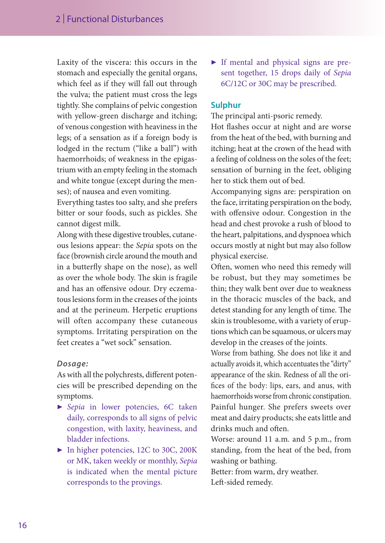Laxity of the viscera: this occurs in the stomach and especially the genital organs, which feel as if they will fall out through the vulva; the patient must cross the legs tightly. She complains of pelvic congestion with yellow-green discharge and itching; of venous congestion with heaviness in the legs; of a sensation as if a foreign body is lodged in the rectum ("like a ball") with haemorrhoids; of weakness in the epigastrium with an empty feeling in the stomach and white tongue (except during the menses); of nausea and even vomiting.

Everything tastes too salty, and she prefers bitter or sour foods, such as pickles. She cannot digest milk.

Along with these digestive troubles, cutaneous lesions appear: the *Sepia* spots on the face (brownish circle around the mouth and in a butterfly shape on the nose), as well as over the whole body. The skin is fragile and has an offensive odour. Dry eczematous lesions form in the creases of the joints and at the perineum. Herpetic eruptions will often accompany these cutaneous symptoms. Irritating perspiration on the feet creates a "wet sock" sensation.

#### *Dosage:*

As with all the polychrests, different potencies will be prescribed depending on the symptoms.

- ▶ *Sepia* in lower potencies, 6C taken daily, corresponds to all signs of pelvic congestion, with laxity, heaviness, and bladder infections.
- ▶ In higher potencies, 12C to 30C, 200K or MK, taken weekly or monthly, *Sepia* is indicated when the mental picture corresponds to the provings.

▶ If mental and physical signs are present together, 15 drops daily of *Sepia* 6C/12C or 30C may be prescribed.

#### **Sulphur**

The principal anti-psoric remedy.

Hot flashes occur at night and are worse from the heat of the bed, with burning and itching; heat at the crown of the head with a feeling of coldness on the soles of the feet; sensation of burning in the feet, obliging her to stick them out of bed.

Accompanying signs are: perspiration on the face, irritating perspiration on the body, with offensive odour. Congestion in the head and chest provoke a rush of blood to the heart, palpitations, and dyspnoea which occurs mostly at night but may also follow physical exercise.

Often, women who need this remedy will be robust, but they may sometimes be thin; they walk bent over due to weakness in the thoracic muscles of the back, and detest standing for any length of time. The skin is troublesome, with a variety of eruptions which can be squamous, or ulcers may develop in the creases of the joints.

Worse from bathing. She does not like it and actually avoids it, which accentuates the "dirty" appearance of the skin. Redness of all the orifices of the body: lips, ears, and anus, with haemorrhoids worse from chronic constipation. Painful hunger. She prefers sweets over meat and dairy products; she eats little and drinks much and often.

Worse: around 11 a.m. and 5 p.m., from standing, from the heat of the bed, from washing or bathing.

Better: from warm, dry weather. Left-sided remedy.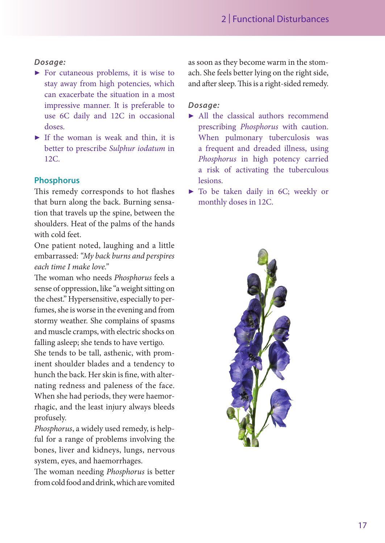#### *Dosage:*

- $\triangleright$  For cutaneous problems, it is wise to stay away from high potencies, which can exacerbate the situation in a most impressive manner. It is preferable to use 6C daily and 12C in occasional doses.
- $\blacktriangleright$  If the woman is weak and thin, it is better to prescribe *Sulphur iodatum* in 12C.

#### **Phosphorus**

This remedy corresponds to hot flashes that burn along the back. Burning sensation that travels up the spine, between the shoulders. Heat of the palms of the hands with cold feet.

One patient noted, laughing and a little embarrassed: *"My back burns and perspires each time I make love."*

The woman who needs *Phosphorus* feels a sense of oppression, like "a weight sitting on the chest." Hypersensitive, especially to perfumes, she is worse in the evening and from stormy weather. She complains of spasms and muscle cramps, with electric shocks on falling asleep; she tends to have vertigo.

She tends to be tall, asthenic, with prominent shoulder blades and a tendency to hunch the back. Her skin is fine, with alternating redness and paleness of the face. When she had periods, they were haemorrhagic, and the least injury always bleeds profusely.

*Phosphorus*, a widely used remedy, is helpful for a range of problems involving the bones, liver and kidneys, lungs, nervous system, eyes, and haemorrhages.

The woman needing *Phosphorus* is better from cold food and drink, which are vomited as soon as they become warm in the stomach. She feels better lying on the right side, and after sleep. This is a right-sided remedy.

#### *Dosage:*

- ▶ All the classical authors recommend prescribing *Phosphorus* with caution. When pulmonary tuberculosis was a frequent and dreaded illness, using *Phosphorus* in high potency carried a risk of activating the tuberculous lesions.
- ▶ To be taken daily in 6C; weekly or monthly doses in 12C.

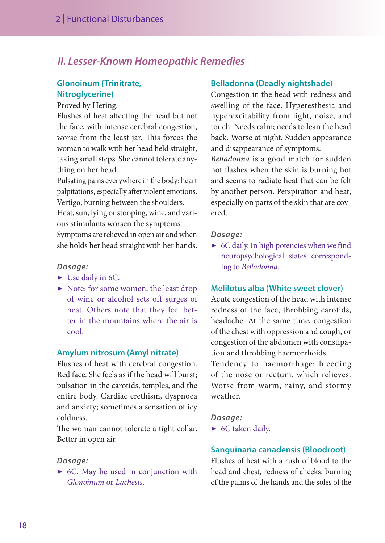### *II. Lesser-Known Homeopathic Remedies*

#### **Glonoinum (Trinitrate, Nitroglycerine)**

Proved by Hering.

Flushes of heat affecting the head but not the face, with intense cerebral congestion, worse from the least jar. This forces the woman to walk with her head held straight, taking small steps. She cannot tolerate anything on her head.

Pulsating pains everywhere in the body; heart palpitations, especially after violent emotions. Vertigo; burning between the shoulders.

Heat, sun, lying or stooping, wine, and various stimulants worsen the symptoms. Symptoms are relieved in open air and when she holds her head straight with her hands.

#### *Dosage:*

- ▶ Use daily in 6C.
- ▶ Note: for some women, the least drop of wine or alcohol sets off surges of heat. Others note that they feel better in the mountains where the air is cool.

#### **Amylum nitrosum (Amyl nitrate)**

Flushes of heat with cerebral congestion. Red face. She feels as if the head will burst; pulsation in the carotids, temples, and the entire body. Cardiac erethism, dyspnoea and anxiety; sometimes a sensation of icy coldness.

The woman cannot tolerate a tight collar. Better in open air.

#### *Dosage:*

▶ 6C. May be used in conjunction with *Glonoinum* or *Lachesis*.

#### **Belladonna (Deadly nightshade**)

Congestion in the head with redness and swelling of the face. Hyperesthesia and hyperexcitability from light, noise, and touch. Needs calm; needs to lean the head back. Worse at night. Sudden appearance and disappearance of symptoms.

*Belladonna* is a good match for sudden hot flashes when the skin is burning hot and seems to radiate heat that can be felt by another person. Perspiration and heat, especially on parts of the skin that are covered.

#### *Dosage:*

▶ 6C daily. In high potencies when we find neuropsychological states corresponding to *Belladonna*.

#### **Melilotus alba (White sweet clover)**

Acute congestion of the head with intense redness of the face, throbbing carotids, headache. At the same time, congestion of the chest with oppression and cough, or congestion of the abdomen with constipation and throbbing haemorrhoids.

Tendency to haemorrhage: bleeding of the nose or rectum, which relieves. Worse from warm, rainy, and stormy weather.

*Dosage:*

▶ 6C taken daily.

#### **Sanguinaria canadensis (Bloodroot**)

Flushes of heat with a rush of blood to the head and chest, redness of cheeks, burning of the palms of the hands and the soles of the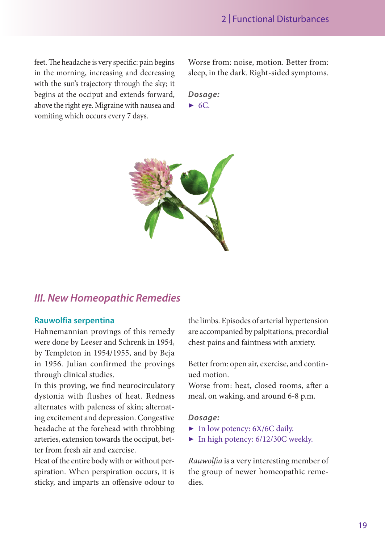feet. The headache is very specific: pain begins in the morning, increasing and decreasing with the sun's trajectory through the sky; it begins at the occiput and extends forward, above the right eye. Migraine with nausea and vomiting which occurs every 7 days.

Worse from: noise, motion. Better from: sleep, in the dark. Right-sided symptoms.

*Dosage:*  $\triangleright$  6C.



### *III. New Homeopathic Remedies*

#### **Rauwolfia serpentina**

Hahnemannian provings of this remedy were done by Leeser and Schrenk in 1954, by Templeton in 1954/1955, and by Beja in 1956. Julian confirmed the provings through clinical studies.

In this proving, we find neurocirculatory dystonia with flushes of heat. Redness alternates with paleness of skin; alternating excitement and depression. Congestive headache at the forehead with throbbing arteries, extension towards the occiput, better from fresh air and exercise.

Heat of the entire body with or without perspiration. When perspiration occurs, it is sticky, and imparts an offensive odour to the limbs. Episodes of arterial hypertension are accompanied by palpitations, precordial chest pains and faintness with anxiety.

Better from: open air, exercise, and continued motion.

Worse from: heat, closed rooms, after a meal, on waking, and around 6-8 p.m.

#### *Dosage:*

- ▶ In low potency: 6X/6C daily.
- ▶ In high potency: 6/12/30C weekly.

*Rauwolfia* is a very interesting member of the group of newer homeopathic remedies.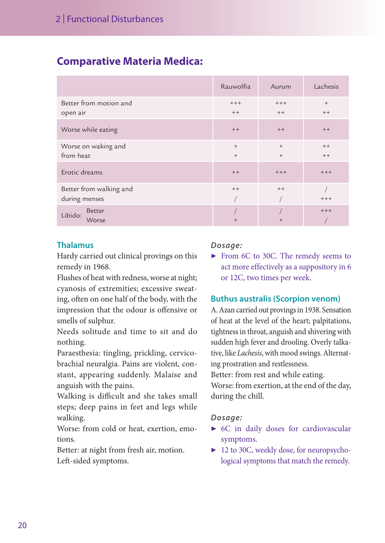### **Comparative Materia Medica:**

|                          | Rauwolfia | Aurum  | Lachesis |
|--------------------------|-----------|--------|----------|
| Better from motion and   | $+++$     | $+++$  | $^{+}$   |
| open air                 | $++$      | $++$   | $++$     |
| Worse while eating       | $++$      | $++$   | $++$     |
| Worse on waking and      | $+$       | $+$    | $++$     |
| from heat                | $+$       | $+$    | $++$     |
| Erotic dreams            | $++$      | $+++$  | $++++$   |
| Better from walking and  | $++$      | $++$   |          |
| during menses            |           |        | $++++$   |
| <b>Better</b><br>Libido: |           |        | $++++$   |
| Worse                    | $^{+}$    | $^{+}$ |          |

#### **Thalamus**

Hardy carried out clinical provings on this remedy in 1968.

Flushes of heat with redness, worse at night; cyanosis of extremities; excessive sweating, often on one half of the body, with the impression that the odour is offensive or smells of sulphur.

Needs solitude and time to sit and do nothing.

Paraesthesia: tingling, prickling, cervicobrachial neuralgia. Pains are violent, constant, appearing suddenly. Malaise and anguish with the pains.

Walking is difficult and she takes small steps; deep pains in feet and legs while walking.

Worse: from cold or heat, exertion, emotions.

Better: at night from fresh air, motion. Left-sided symptoms.

#### *Dosage:*

▶ From 6C to 30C. The remedy seems to act more effectively as a suppository in 6 or 12C, two times per week.

#### **Buthus australis (Scorpion venom)**

A. Azan carried out provings in 1938. Sensation of heat at the level of the heart; palpitations, tightness in throat, anguish and shivering with sudden high fever and drooling. Overly talkative, like *Lachesis*, with mood swings. Alternating prostration and restlessness.

Better: from rest and while eating.

Worse: from exertion, at the end of the day, during the chill.

#### *Dosage:*

- ▶ 6C in daily doses for cardiovascular symptoms.
- ▶ 12 to 30C, weekly dose, for neuropsychological symptoms that match the remedy.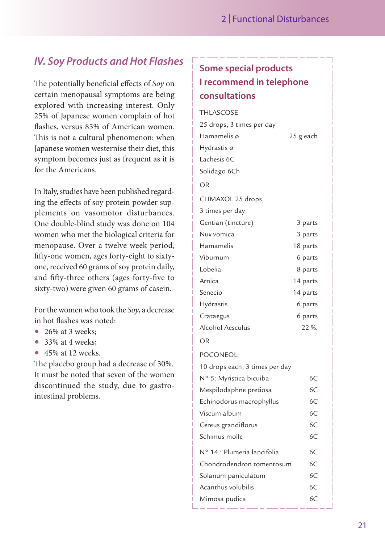## *IV. Soy Products and Hot Flashes*

The potentially beneficial effects of *Soy* on certain menopausal symptoms are being explored with increasing interest. Only 25% of Japanese women complain of hot flashes, versus 85% of American women. This is not a cultural phenomenon: when Japanese women westernise their diet, this symptom becomes just as frequent as it is for the Americans.

In Italy, studies have been published regarding the effects of soy protein powder supplements on vasomotor disturbances. One double-blind study was done on 104 women who met the biological criteria for menopause. Over a twelve week period, fifty-one women, ages forty-eight to sixtyone, received 60 grams of soy protein daily, and fifty-three others (ages forty-five to sixty-two) were given 60 grams of casein.

For the women who took the *Soy*, a decrease in hot flashes was noted:

- 26% at 3 weeks:
- $\bullet$  33% at 4 weeks:
- $\bullet$  45% at 12 weeks.

The placebo group had a decrease of 30%. It must be noted that seven of the women discontinued the study, due to gastrointestinal problems.

## **Some special products I recommend in telephone consultations**

| <b>THLASCOSE</b>               |           |
|--------------------------------|-----------|
| 25 drops, 3 times per day      |           |
| Hamamelis ø                    | 25 g each |
| Hydrastis ø                    |           |
| Lachesis 6C                    |           |
| Solidago 6Ch                   |           |
| OR                             |           |
| CLIMAXOL 25 drops,             |           |
| 3 times per day                |           |
| Gentian (tincture)             | 3 parts   |
| Nux vomica                     | 3 parts   |
| Hamamelis                      | 18 parts  |
| Viburnum                       | 6 parts   |
| Lobelia                        | 8 parts   |
| Arnica                         | 14 parts  |
| Senecio                        | 14 parts  |
| Hydrastis                      | 6 parts   |
| Crataegus                      | 6 parts   |
| <b>Alcohol Aesculus</b>        | 22 %.     |
| OR                             |           |
| POCONEOL                       |           |
| 10 drops each, 3 times per day |           |
| N° 5: Myristica bicuiba        | 6C        |
| Mespilodaphne pretiosa         | 6C        |
| Echinodorus macrophyllus       | 6C        |
| Viscum album                   | 6C        |
| Cereus grandiflorus            | 6C        |
| Schimus molle                  | 6C        |
| Nº 14 : Plumeria lancifolia    | 6C        |
| Chondrodendron tomentosum      | 6C        |
| Solanum paniculatum            | 6C        |
| Acanthus volubilis             | 6C        |
| Mimosa pudica                  | 6C        |